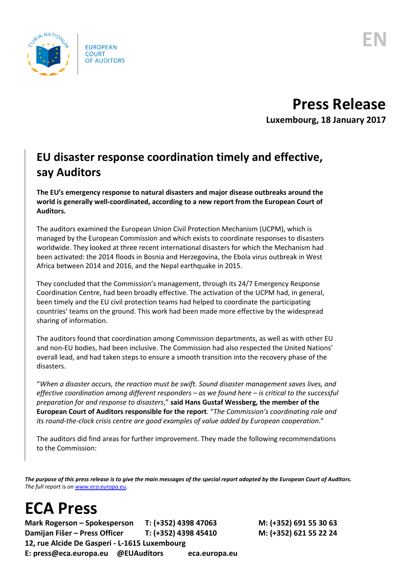

## **Press Release**

**Luxembourg, 18 January 2017**

## **EU disaster response coordination timely and effective, say Auditors**

**The EU's emergency response to natural disasters and major disease outbreaks around the world is generally well-coordinated, according to a new report from the European Court of Auditors.** 

The auditors examined the European Union Civil Protection Mechanism (UCPM), which is managed by the European Commission and which exists to coordinate responses to disasters worldwide. They looked at three recent international disasters for which the Mechanism had been activated: the 2014 floods in Bosnia and Herzegovina, the Ebola virus outbreak in West Africa between 2014 and 2016, and the Nepal earthquake in 2015.

They concluded that the Commission's management, through its 24/7 Emergency Response Coordination Centre, had been broadly effective. The activation of the UCPM had, in general, been timely and the EU civil protection teams had helped to coordinate the participating countries' teams on the ground. This work had been made more effective by the widespread sharing of information.

The auditors found that coordination among Commission departments, as well as with other EU and non-EU bodies, had been inclusive. The Commission had also respected the United Nations' overall lead, and had taken steps to ensure a smooth transition into the recovery phase of the disasters.

"*When a disaster occurs, the reaction must be swift. Sound disaster management saves lives, and effective coordination among different responders – as we found here – is critical to the successful preparation for and response to disasters*," **said Hans Gustaf Wessberg, the member of the European Court of Auditors responsible for the report**. "*The Commission's coordinating role and its round-the-clock crisis centre are good examples of value added by European cooperation*."

The auditors did find areas for further improvement. They made the following recommendations to the Commission:

*The purpose of this press release is to give the main messages of the special report adopted by the European Court of Auditors. The full report is o[n www.eca.europa.eu](http://www.eca.europa.eu/)*.

## **ECA Press**

**Mark Rogerson – Spokesperson T: (+352) 4398 47063 M: (+352) 691 55 30 63 Damijan Fišer – Press Officer T: (+352) 4398 45410 M: (+352) 621 55 22 24 12, rue Alcide De Gasperi - L-1615 Luxembourg E: press@eca.europa.eu @EUAuditors eca.europa.eu**